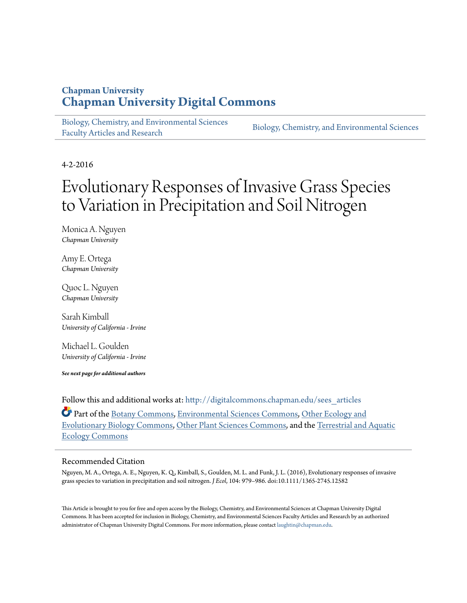### **Chapman University [Chapman University Digital Commons](http://digitalcommons.chapman.edu?utm_source=digitalcommons.chapman.edu%2Fsees_articles%2F115&utm_medium=PDF&utm_campaign=PDFCoverPages)**

[Biology, Chemistry, and Environmental Sciences](http://digitalcommons.chapman.edu/sees_articles?utm_source=digitalcommons.chapman.edu%2Fsees_articles%2F115&utm_medium=PDF&utm_campaign=PDFCoverPages) [Faculty Articles and Research](http://digitalcommons.chapman.edu/sees_articles?utm_source=digitalcommons.chapman.edu%2Fsees_articles%2F115&utm_medium=PDF&utm_campaign=PDFCoverPages) [Biology, Chemistry, and Environmental Sciences](http://digitalcommons.chapman.edu/earthenvironment?utm_source=digitalcommons.chapman.edu%2Fsees_articles%2F115&utm_medium=PDF&utm_campaign=PDFCoverPages)

4-2-2016

# Evolutionary Responses of Invasive Grass Species to Variation in Precipitation and Soil Nitrogen

Monica A. Nguyen *Chapman University*

Amy E. Ortega *Chapman University*

Quoc L. Nguyen *Chapman University*

Sarah Kimball *University of California - Irvine*

Michael L. Goulden *University of California - Irvine*

*See next page for additional authors*

Follow this and additional works at: [http://digitalcommons.chapman.edu/sees\\_articles](http://digitalcommons.chapman.edu/sees_articles?utm_source=digitalcommons.chapman.edu%2Fsees_articles%2F115&utm_medium=PDF&utm_campaign=PDFCoverPages)

Part of the [Botany Commons,](http://network.bepress.com/hgg/discipline/104?utm_source=digitalcommons.chapman.edu%2Fsees_articles%2F115&utm_medium=PDF&utm_campaign=PDFCoverPages) [Environmental Sciences Commons,](http://network.bepress.com/hgg/discipline/167?utm_source=digitalcommons.chapman.edu%2Fsees_articles%2F115&utm_medium=PDF&utm_campaign=PDFCoverPages) [Other Ecology and](http://network.bepress.com/hgg/discipline/21?utm_source=digitalcommons.chapman.edu%2Fsees_articles%2F115&utm_medium=PDF&utm_campaign=PDFCoverPages) [Evolutionary Biology Commons,](http://network.bepress.com/hgg/discipline/21?utm_source=digitalcommons.chapman.edu%2Fsees_articles%2F115&utm_medium=PDF&utm_campaign=PDFCoverPages) [Other Plant Sciences Commons](http://network.bepress.com/hgg/discipline/109?utm_source=digitalcommons.chapman.edu%2Fsees_articles%2F115&utm_medium=PDF&utm_campaign=PDFCoverPages), and the [Terrestrial and Aquatic](http://network.bepress.com/hgg/discipline/20?utm_source=digitalcommons.chapman.edu%2Fsees_articles%2F115&utm_medium=PDF&utm_campaign=PDFCoverPages) [Ecology Commons](http://network.bepress.com/hgg/discipline/20?utm_source=digitalcommons.chapman.edu%2Fsees_articles%2F115&utm_medium=PDF&utm_campaign=PDFCoverPages)

#### Recommended Citation

Nguyen, M. A., Ortega, A. E., Nguyen, K. Q., Kimball, S., Goulden, M. L. and Funk, J. L. (2016), Evolutionary responses of invasive grass species to variation in precipitation and soil nitrogen. *J Ecol*, 104: 979–986. doi:10.1111/1365-2745.12582

This Article is brought to you for free and open access by the Biology, Chemistry, and Environmental Sciences at Chapman University Digital Commons. It has been accepted for inclusion in Biology, Chemistry, and Environmental Sciences Faculty Articles and Research by an authorized administrator of Chapman University Digital Commons. For more information, please contact [laughtin@chapman.edu.](mailto:laughtin@chapman.edu)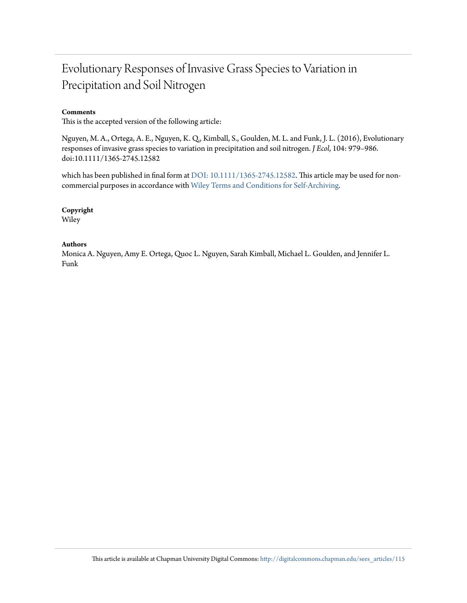## Evolutionary Responses of Invasive Grass Species to Variation in Precipitation and Soil Nitrogen

#### **Comments**

This is the accepted version of the following article:

Nguyen, M. A., Ortega, A. E., Nguyen, K. Q., Kimball, S., Goulden, M. L. and Funk, J. L. (2016), Evolutionary responses of invasive grass species to variation in precipitation and soil nitrogen. *J Ecol*, 104: 979–986. doi:10.1111/1365-2745.12582

which has been published in final form at [DOI: 10.1111/1365-2745.12582.](http://dx.doi.org/10.1111/1365-2745.12582) This article may be used for noncommercial purposes in accordance with [Wiley Terms and Conditions for Self-Archiving](http://olabout.wiley.com/WileyCDA/Section/id-820227.html#terms)*.*

#### **Copyright**

Wiley

#### **Authors**

Monica A. Nguyen, Amy E. Ortega, Quoc L. Nguyen, Sarah Kimball, Michael L. Goulden, and Jennifer L. Funk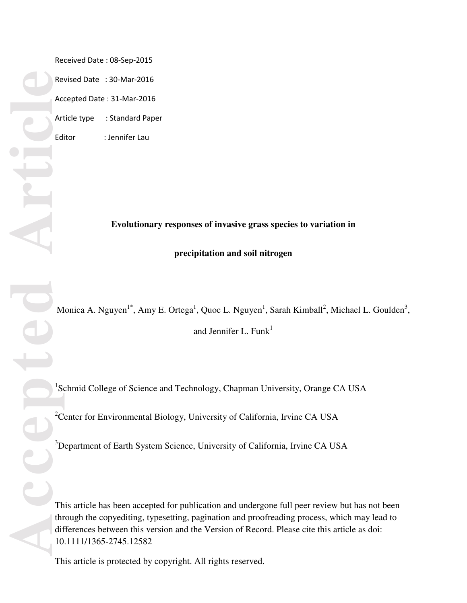Received Date : 08-Sep-2015 Revised Date : 30-Mar-2016 Accepted Date : 31-Mar-2016 Article type : Standard Paper Editor : Jennifer Lau

**Evolutionary responses of invasive grass species to variation in** 

#### **precipitation and soil nitrogen**

Monica A. Nguyen<sup>1\*</sup>, Amy E. Ortega<sup>1</sup>, Quoc L. Nguyen<sup>1</sup>, Sarah Kimball<sup>2</sup>, Michael L. Goulden<sup>3</sup>,

and Jennifer L. Funk $<sup>1</sup>$ </sup>

<sup>1</sup>Schmid College of Science and Technology, Chapman University, Orange CA USA

<sup>2</sup> Center for Environmental Biology, University of California, Irvine CA USA

<sup>3</sup>Department of Earth System Science, University of California, Irvine CA USA

This article has been accepted for publication and undergone full peer review but has not been through the copyediting, typesetting, pagination and proofreading process, which may lead to differences between this version and the Version of Record. Please cite this article as doi: 10.1111/1365-2745.12582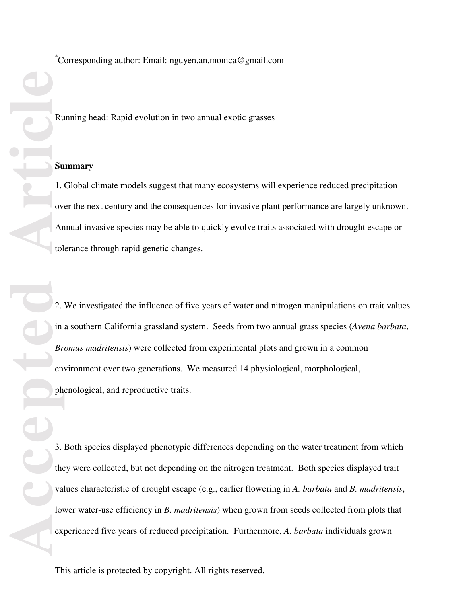**Excession Contains to the Contains of Containing Philips (Contains)**<br> **Anticle**<br> **Article**<br> **Accepted**<br> **Article**<br> **Article**<br> **Article**<br> **Article**<br> **Article**<br> **Article**<br> **Article**<br> **Article**<br> **Article**<br> **Article** 

\* Corresponding author: Email: nguyen.an.monica@gmail.com

Running head: Rapid evolution in two annual exotic grasses

#### **Summary**

1. Global climate models suggest that many ecosystems will experience reduced precipitation over the next century and the consequences for invasive plant performance are largely unknown. Annual invasive species may be able to quickly evolve traits associated with drought escape or tolerance through rapid genetic changes.

2. We investigated the influence of five years of water and nitrogen manipulations on trait values in a southern California grassland system. Seeds from two annual grass species (*Avena barbata*, *Bromus madritensis*) were collected from experimental plots and grown in a common environment over two generations. We measured 14 physiological, morphological, phenological, and reproductive traits.

3. Both species displayed phenotypic differences depending on the water treatment from which they were collected, but not depending on the nitrogen treatment. Both species displayed trait values characteristic of drought escape (e.g., earlier flowering in *A. barbata* and *B. madritensis*, lower water-use efficiency in *B. madritensis*) when grown from seeds collected from plots that experienced five years of reduced precipitation. Furthermore, *A. barbata* individuals grown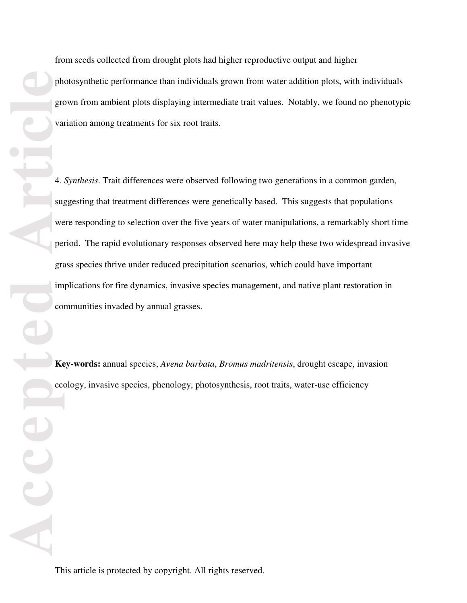from seeds collected from drought plots had higher reproductive output and higher photosynthetic performance than individuals grown from water addition plots, with individuals grown from ambient plots displaying intermediate trait values. Notably, we found no phenotypic variation among treatments for six root traits.

4. *Synthesis*. Trait differences were observed following two generations in a common garden, suggesting that treatment differences were genetically based. This suggests that populations were responding to selection over the five years of water manipulations, a remarkably short time period. The rapid evolutionary responses observed here may help these two widespread invasive grass species thrive under reduced precipitation scenarios, which could have important implications for fire dynamics, invasive species management, and native plant restoration in communities invaded by annual grasses.

**Key-words:** annual species, *Avena barbata*, *Bromus madritensis*, drought escape, invasion ecology, invasive species, phenology, photosynthesis, root traits, water-use efficiency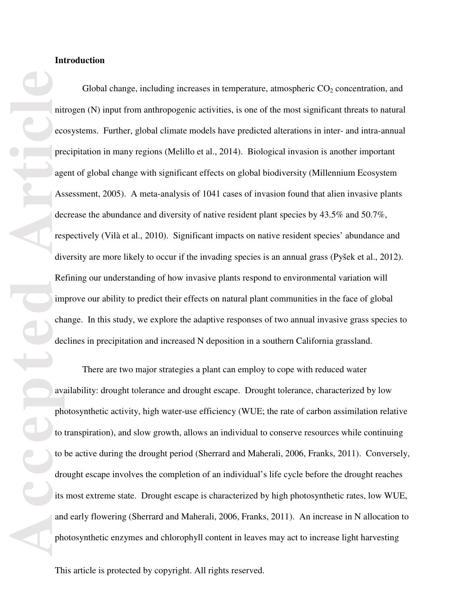**Accepted Article** Global change, including increases in temperature, atmospheric  $CO<sub>2</sub>$  concentration, and nitrogen (N) input from anthropogenic activities, is one of the most significant threats to natural ecosystems. Further, global climate models have predicted alterations in inter- and intra-annual precipitation in many regions (Melillo et al., 2014). Biological invasion is another important agent of global change with significant effects on global biodiversity (Millennium Ecosystem Assessment, 2005). A meta-analysis of 1041 cases of invasion found that alien invasive plants decrease the abundance and diversity of native resident plant species by 43.5% and 50.7%, respectively (Vilà et al., 2010). Significant impacts on native resident species' abundance and diversity are more likely to occur if the invading species is an annual grass (Pyšek et al., 2012). Refining our understanding of how invasive plants respond to environmental variation will improve our ability to predict their effects on natural plant communities in the face of global change. In this study, we explore the adaptive responses of two annual invasive grass species to declines in precipitation and increased N deposition in a southern California grassland.

There are two major strategies a plant can employ to cope with reduced water availability: drought tolerance and drought escape. Drought tolerance, characterized by low photosynthetic activity, high water-use efficiency (WUE; the rate of carbon assimilation relative to transpiration), and slow growth, allows an individual to conserve resources while continuing to be active during the drought period (Sherrard and Maherali, 2006, Franks, 2011). Conversely, drought escape involves the completion of an individual's life cycle before the drought reaches its most extreme state. Drought escape is characterized by high photosynthetic rates, low WUE, and early flowering (Sherrard and Maherali, 2006, Franks, 2011). An increase in N allocation to photosynthetic enzymes and chlorophyll content in leaves may act to increase light harvesting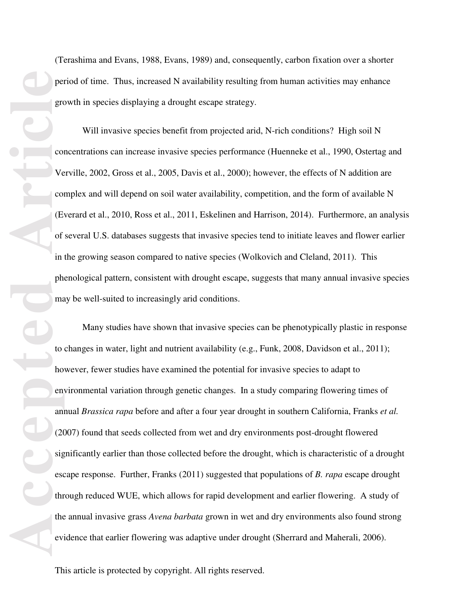(Terashima and Evans, 1988, Evans, 1989) and, consequently, carbon fixation over a shorter period of time. Thus, increased N availability resulting from human activities may enhance growth in species displaying a drought escape strategy.

Will invasive species benefit from projected arid, N-rich conditions? High soil N concentrations can increase invasive species performance (Huenneke et al., 1990, Ostertag and Verville, 2002, Gross et al., 2005, Davis et al., 2000); however, the effects of N addition are complex and will depend on soil water availability, competition, and the form of available N (Everard et al., 2010, Ross et al., 2011, Eskelinen and Harrison, 2014). Furthermore, an analysis of several U.S. databases suggests that invasive species tend to initiate leaves and flower earlier in the growing season compared to native species (Wolkovich and Cleland, 2011). This phenological pattern, consistent with drought escape, suggests that many annual invasive species may be well-suited to increasingly arid conditions.

Many studies have shown that invasive species can be phenotypically plastic in response to changes in water, light and nutrient availability (e.g., Funk, 2008, Davidson et al., 2011); however, fewer studies have examined the potential for invasive species to adapt to environmental variation through genetic changes. In a study comparing flowering times of annual *Brassica rapa* before and after a four year drought in southern California, Franks *et al.* (2007) found that seeds collected from wet and dry environments post-drought flowered significantly earlier than those collected before the drought, which is characteristic of a drought escape response. Further, Franks (2011) suggested that populations of *B. rapa* escape drought through reduced WUE, which allows for rapid development and earlier flowering. A study of the annual invasive grass *Avena barbata* grown in wet and dry environments also found strong evidence that earlier flowering was adaptive under drought (Sherrard and Maherali, 2006).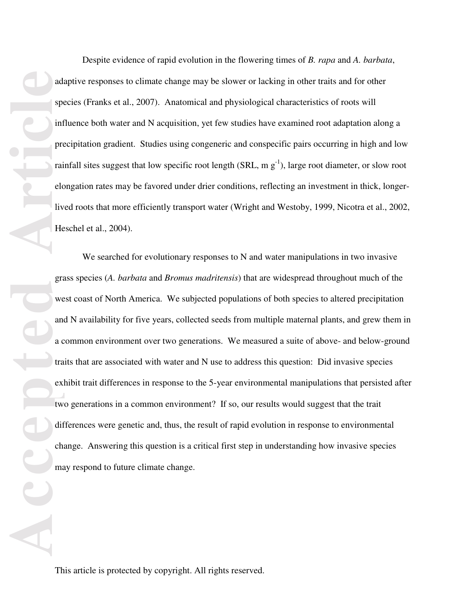Despite evidence of rapid evolution in the flowering times of *B. rapa* and *A. barbata*, adaptive responses to climate change may be slower or lacking in other traits and for other species (Franks et al., 2007). Anatomical and physiological characteristics of roots will influence both water and N acquisition, yet few studies have examined root adaptation along a precipitation gradient. Studies using congeneric and conspecific pairs occurring in high and low rainfall sites suggest that low specific root length (SRL, m  $g^{-1}$ ), large root diameter, or slow root elongation rates may be favored under drier conditions, reflecting an investment in thick, longerlived roots that more efficiently transport water (Wright and Westoby, 1999, Nicotra et al., 2002, Heschel et al., 2004).

ada special special special special special special special special special special special special special special special special special special special special special special special special special special special sp We searched for evolutionary responses to N and water manipulations in two invasive grass species (*A. barbata* and *Bromus madritensis*) that are widespread throughout much of the west coast of North America. We subjected populations of both species to altered precipitation and N availability for five years, collected seeds from multiple maternal plants, and grew them in a common environment over two generations. We measured a suite of above- and below-ground traits that are associated with water and N use to address this question: Did invasive species exhibit trait differences in response to the 5-year environmental manipulations that persisted after two generations in a common environment? If so, our results would suggest that the trait differences were genetic and, thus, the result of rapid evolution in response to environmental change. Answering this question is a critical first step in understanding how invasive species may respond to future climate change.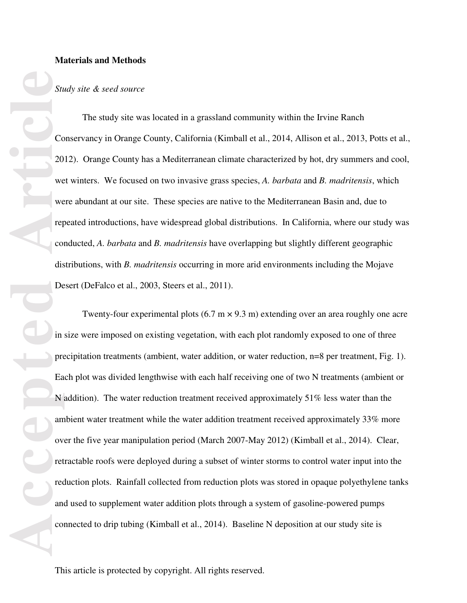#### **Materials and Methods**

#### *Study site & seed source*

The study site was located in a grassland community within the Irvine Ranch Conservancy in Orange County, California (Kimball et al., 2014, Allison et al., 2013, Potts et al., 2012). Orange County has a Mediterranean climate characterized by hot, dry summers and cool, wet winters. We focused on two invasive grass species, *A. barbata* and *B. madritensis*, which were abundant at our site. These species are native to the Mediterranean Basin and, due to repeated introductions, have widespread global distributions. In California, where our study was conducted, *A. barbata* and *B. madritensis* have overlapping but slightly different geographic distributions, with *B. madritensis* occurring in more arid environments including the Mojave Desert (DeFalco et al., 2003, Steers et al., 2011).

**Example 19**<br> **Accepted Article**<br> **Article**<br> **Article**<br> **Article**<br> **Article**<br> **Article**<br> **Article**<br> **Article**<br> **Article**<br> **Article**<br> **Article**<br> **Article**<br> **Article**<br> **Article**<br> **Article**<br> **Article**<br> **Article**<br> **Article**<br> Twenty-four experimental plots  $(6.7 \text{ m} \times 9.3 \text{ m})$  extending over an area roughly one acre in size were imposed on existing vegetation, with each plot randomly exposed to one of three precipitation treatments (ambient, water addition, or water reduction, n=8 per treatment, Fig. 1). Each plot was divided lengthwise with each half receiving one of two N treatments (ambient or N addition). The water reduction treatment received approximately 51% less water than the ambient water treatment while the water addition treatment received approximately 33% more over the five year manipulation period (March 2007-May 2012) (Kimball et al., 2014). Clear, retractable roofs were deployed during a subset of winter storms to control water input into the reduction plots. Rainfall collected from reduction plots was stored in opaque polyethylene tanks and used to supplement water addition plots through a system of gasoline-powered pumps connected to drip tubing (Kimball et al., 2014). Baseline N deposition at our study site is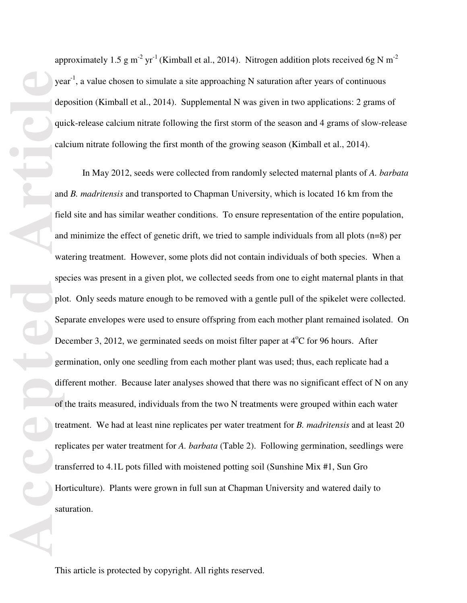approximately 1.5 g m<sup>-2</sup> yr<sup>-1</sup> (Kimball et al., 2014). Nitrogen addition plots received 6g N m<sup>-2</sup> year<sup>-1</sup>, a value chosen to simulate a site approaching N saturation after years of continuous deposition (Kimball et al., 2014). Supplemental N was given in two applications: 2 grams of quick-release calcium nitrate following the first storm of the season and 4 grams of slow-release calcium nitrate following the first month of the growing season (Kimball et al., 2014).

In May 2012, seeds were collected from randomly selected maternal plants of *A. barbata* and *B. madritensis* and transported to Chapman University, which is located 16 km from the field site and has similar weather conditions. To ensure representation of the entire population, and minimize the effect of genetic drift, we tried to sample individuals from all plots  $(n=8)$  per watering treatment. However, some plots did not contain individuals of both species. When a species was present in a given plot, we collected seeds from one to eight maternal plants in that plot. Only seeds mature enough to be removed with a gentle pull of the spikelet were collected. Separate envelopes were used to ensure offspring from each mother plant remained isolated. On December 3, 2012, we germinated seeds on moist filter paper at  $4^{\circ}$ C for 96 hours. After germination, only one seedling from each mother plant was used; thus, each replicate had a different mother. Because later analyses showed that there was no significant effect of N on any of the traits measured, individuals from the two N treatments were grouped within each water treatment. We had at least nine replicates per water treatment for *B. madritensis* and at least 20 replicates per water treatment for *A. barbata* (Table 2). Following germination, seedlings were transferred to 4.1L pots filled with moistened potting soil (Sunshine Mix #1, Sun Gro Horticulture). Plants were grown in full sun at Chapman University and watered daily to saturation.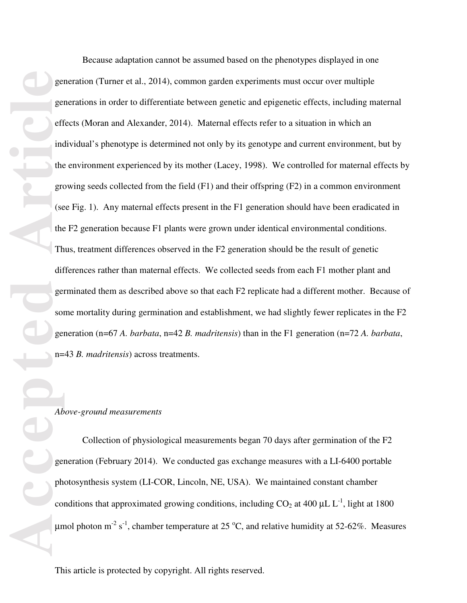gered the group of the group of the group of the group of the group of the group of the group of the group of the group of the group of the coup ph coup ph coup ph coup ph coup ph coup ph coup ph coup ph coup ph coup ph co Because adaptation cannot be assumed based on the phenotypes displayed in one

generation (Turner et al., 2014), common garden experiments must occur over multiple generations in order to differentiate between genetic and epigenetic effects, including maternal effects (Moran and Alexander, 2014). Maternal effects refer to a situation in which an individual's phenotype is determined not only by its genotype and current environment, but by the environment experienced by its mother (Lacey, 1998). We controlled for maternal effects by growing seeds collected from the field (F1) and their offspring (F2) in a common environment (see Fig. 1). Any maternal effects present in the F1 generation should have been eradicated in the F2 generation because F1 plants were grown under identical environmental conditions. Thus, treatment differences observed in the F2 generation should be the result of genetic differences rather than maternal effects. We collected seeds from each F1 mother plant and germinated them as described above so that each F2 replicate had a different mother. Because of some mortality during germination and establishment, we had slightly fewer replicates in the F2 generation (n=67 *A. barbata*, n=42 *B. madritensis*) than in the F1 generation (n=72 *A. barbata*, n=43 *B. madritensis*) across treatments.

#### *Above-ground measurements*

Collection of physiological measurements began 70 days after germination of the F2 generation (February 2014). We conducted gas exchange measures with a LI-6400 portable photosynthesis system (LI-COR, Lincoln, NE, USA). We maintained constant chamber conditions that approximated growing conditions, including  $CO_2$  at 400  $\mu$ L L<sup>-1</sup>, light at 1800 μmol photon m<sup>-2</sup> s<sup>-1</sup>, chamber temperature at 25 °C, and relative humidity at 52-62%. Measures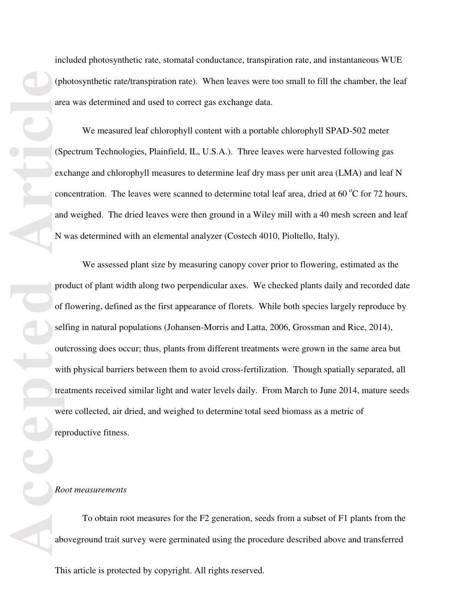included photosynthetic rate, stomatal conductance, transpiration rate, and instantaneous WUE (photosynthetic rate/transpiration rate). When leaves were too small to fill the chamber, the leaf area was determined and used to correct gas exchange data.

We measured leaf chlorophyll content with a portable chlorophyll SPAD-502 meter (Spectrum Technologies, Plainfield, IL, U.S.A.). Three leaves were harvested following gas exchange and chlorophyll measures to determine leaf dry mass per unit area (LMA) and leaf N concentration. The leaves were scanned to determine total leaf area, dried at 60  $^{\circ}$ C for 72 hours, and weighed. The dried leaves were then ground in a Wiley mill with a 40 mesh screen and leaf N was determined with an elemental analyzer (Costech 4010, Pioltello, Italy).

We assessed plant size by measuring canopy cover prior to flowering, estimated as the product of plant width along two perpendicular axes. We checked plants daily and recorded date of flowering, defined as the first appearance of florets. While both species largely reproduce by selfing in natural populations (Johansen-Morris and Latta, 2006, Grossman and Rice, 2014), outcrossing does occur; thus, plants from different treatments were grown in the same area but with physical barriers between them to avoid cross-fertilization. Though spatially separated, all treatments received similar light and water levels daily. From March to June 2014, mature seeds were collected, air dried, and weighed to determine total seed biomass as a metric of reproductive fitness.

#### *Root measurements*

To obtain root measures for the F2 generation, seeds from a subset of F1 plants from the aboveground trait survey were germinated using the procedure described above and transferred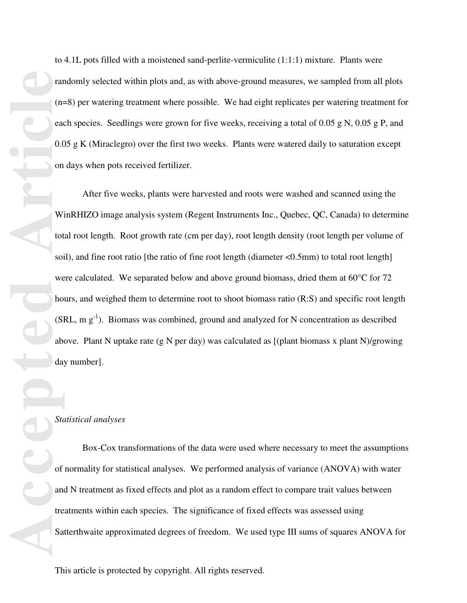to 4.1L pots filled with a moistened sand-perlite-vermiculite (1:1:1) mixture. Plants were randomly selected within plots and, as with above-ground measures, we sampled from all plots (n=8) per watering treatment where possible. We had eight replicates per watering treatment for each species. Seedlings were grown for five weeks, receiving a total of 0.05 g N, 0.05 g P, and 0.05 g K (Miraclegro) over the first two weeks. Plants were watered daily to saturation except on days when pots received fertilizer.

After five weeks, plants were harvested and roots were washed and scanned using the WinRHIZO image analysis system (Regent Instruments Inc., Quebec, QC, Canada) to determine total root length. Root growth rate (cm per day), root length density (root length per volume of soil), and fine root ratio [the ratio of fine root length (diameter  $\langle 0.5 \text{mm} \rangle$ ) to total root length] were calculated. We separated below and above ground biomass, dried them at  $60^{\circ}$ C for 72 hours, and weighed them to determine root to shoot biomass ratio (R:S) and specific root length  $(SRL, m g<sup>-1</sup>)$ . Biomass was combined, ground and analyzed for N concentration as described above. Plant N uptake rate (g N per day) was calculated as [(plant biomass x plant N)/growing day number].

#### *Statistical analyses*

Box-Cox transformations of the data were used where necessary to meet the assumptions of normality for statistical analyses. We performed analysis of variance (ANOVA) with water and N treatment as fixed effects and plot as a random effect to compare trait values between treatments within each species. The significance of fixed effects was assessed using Satterthwaite approximated degrees of freedom. We used type III sums of squares ANOVA for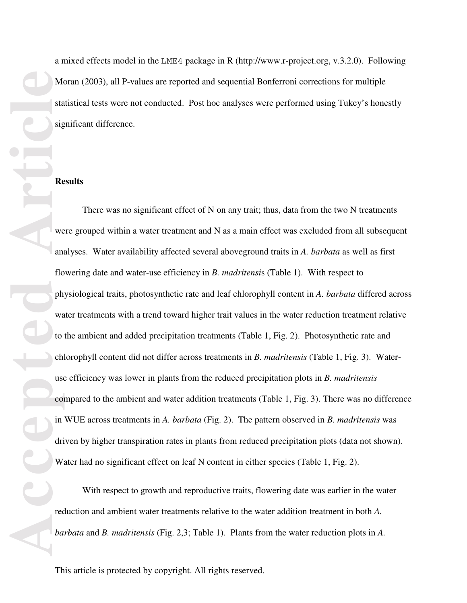a mixed effects model in the LME4 package in R (http://www.r-project.org, v.3.2.0). Following Moran (2003), all P-values are reported and sequential Bonferroni corrections for multiple statistical tests were not conducted. Post hoc analyses were performed using Tukey's honestly significant difference.

#### **Results**

There was no significant effect of N on any trait; thus, data from the two N treatments were grouped within a water treatment and N as a main effect was excluded from all subsequent analyses. Water availability affected several aboveground traits in *A. barbata* as well as first flowering date and water-use efficiency in *B. madritensi*s (Table 1). With respect to physiological traits, photosynthetic rate and leaf chlorophyll content in *A. barbata* differed across water treatments with a trend toward higher trait values in the water reduction treatment relative to the ambient and added precipitation treatments (Table 1, Fig. 2). Photosynthetic rate and chlorophyll content did not differ across treatments in *B. madritensis* (Table 1, Fig. 3). Wateruse efficiency was lower in plants from the reduced precipitation plots in *B. madritensis* compared to the ambient and water addition treatments (Table 1, Fig. 3). There was no difference in WUE across treatments in *A. barbata* (Fig. 2). The pattern observed in *B. madritensis* was driven by higher transpiration rates in plants from reduced precipitation plots (data not shown). Water had no significant effect on leaf N content in either species (Table 1, Fig. 2).

With respect to growth and reproductive traits, flowering date was earlier in the water reduction and ambient water treatments relative to the water addition treatment in both *A. barbata* and *B. madritensis* (Fig. 2,3; Table 1). Plants from the water reduction plots in *A.*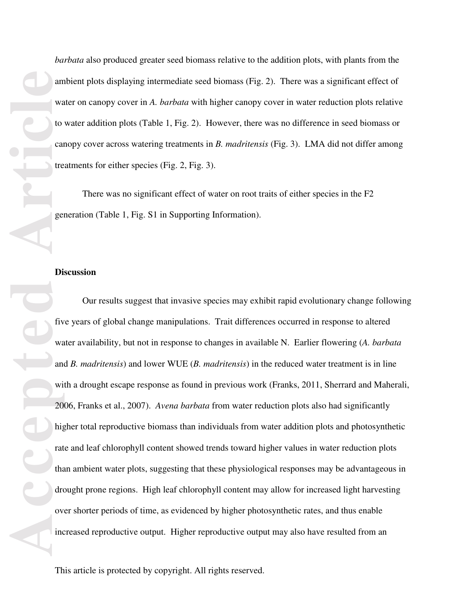**Accepted Articles Contained Property** and **Articles Contained Property** Contained Property Contained Property Contained Property Contained Property Contained Property Contained Property Contained Property Contained Prop

*barbata* also produced greater seed biomass relative to the addition plots, with plants from the ambient plots displaying intermediate seed biomass (Fig. 2). There was a significant effect of water on canopy cover in *A. barbata* with higher canopy cover in water reduction plots relative to water addition plots (Table 1, Fig. 2). However, there was no difference in seed biomass or canopy cover across watering treatments in *B. madritensis* (Fig. 3). LMA did not differ among treatments for either species (Fig. 2, Fig. 3).

There was no significant effect of water on root traits of either species in the F2 generation (Table 1, Fig. S1 in Supporting Information).

#### **Discussion**

Our results suggest that invasive species may exhibit rapid evolutionary change following five years of global change manipulations. Trait differences occurred in response to altered water availability, but not in response to changes in available N. Earlier flowering (*A. barbata* and *B. madritensis*) and lower WUE (*B. madritensis*) in the reduced water treatment is in line with a drought escape response as found in previous work (Franks, 2011, Sherrard and Maherali, 2006, Franks et al., 2007). *Avena barbata* from water reduction plots also had significantly higher total reproductive biomass than individuals from water addition plots and photosynthetic rate and leaf chlorophyll content showed trends toward higher values in water reduction plots than ambient water plots, suggesting that these physiological responses may be advantageous in drought prone regions. High leaf chlorophyll content may allow for increased light harvesting over shorter periods of time, as evidenced by higher photosynthetic rates, and thus enable increased reproductive output. Higher reproductive output may also have resulted from an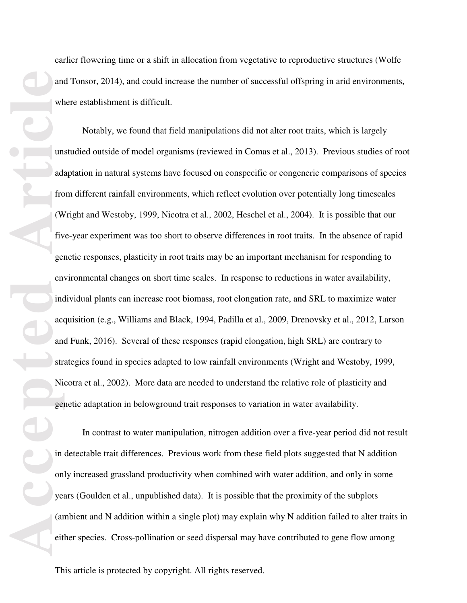earlier flowering time or a shift in allocation from vegetative to reproductive structures (Wolfe and Tonsor, 2014), and could increase the number of successful offspring in arid environments, where establishment is difficult.

Notably, we found that field manipulations did not alter root traits, which is largely unstudied outside of model organisms (reviewed in Comas et al., 2013). Previous studies of root adaptation in natural systems have focused on conspecific or congeneric comparisons of species from different rainfall environments, which reflect evolution over potentially long timescales (Wright and Westoby, 1999, Nicotra et al., 2002, Heschel et al., 2004). It is possible that our five-year experiment was too short to observe differences in root traits. In the absence of rapid genetic responses, plasticity in root traits may be an important mechanism for responding to environmental changes on short time scales. In response to reductions in water availability, individual plants can increase root biomass, root elongation rate, and SRL to maximize water acquisition (e.g., Williams and Black, 1994, Padilla et al., 2009, Drenovsky et al., 2012, Larson and Funk, 2016). Several of these responses (rapid elongation, high SRL) are contrary to strategies found in species adapted to low rainfall environments (Wright and Westoby, 1999, Nicotra et al., 2002). More data are needed to understand the relative role of plasticity and genetic adaptation in belowground trait responses to variation in water availability.

In contrast to water manipulation, nitrogen addition over a five-year period did not result in detectable trait differences. Previous work from these field plots suggested that N addition only increased grassland productivity when combined with water addition, and only in some years (Goulden et al., unpublished data). It is possible that the proximity of the subplots (ambient and N addition within a single plot) may explain why N addition failed to alter traits in either species. Cross-pollination or seed dispersal may have contributed to gene flow among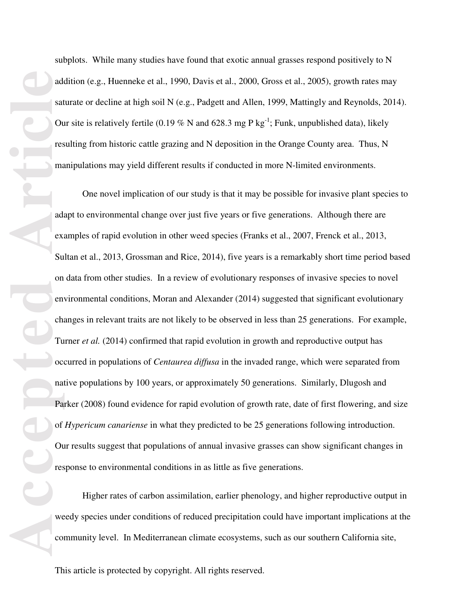add sat<br>
sat<br>
ou<br>
res<br>
ma<br>
add exi<br>
su<br>
add exi<br>
Su<br>
on<br>
em<br>
Tu<br>
oc<br>
nat<br>
Pa<br>
of<br>
Ou<br>
res<br>
fou<br>
Tu<br>
oc<br>
nat<br>
Pa<br>
of<br>
Ou<br>
res<br>
Pa<br>
of<br>  $\frac{1}{2}$ <br>
Pa<br>  $\frac{1}{2}$ <br>  $\frac{1}{2}$ <br>  $\frac{1}{2}$ <br>  $\frac{1}{2}$ <br>  $\frac{1}{2}$ <br>  $\frac{1}{2}$ <br>  $\frac{1}{2$ 

subplots. While many studies have found that exotic annual grasses respond positively to N addition (e.g., Huenneke et al., 1990, Davis et al., 2000, Gross et al., 2005), growth rates may saturate or decline at high soil N (e.g., Padgett and Allen, 1999, Mattingly and Reynolds, 2014). Our site is relatively fertile (0.19 % N and 628.3 mg P kg<sup>-1</sup>; Funk, unpublished data), likely resulting from historic cattle grazing and N deposition in the Orange County area. Thus, N manipulations may yield different results if conducted in more N-limited environments.

One novel implication of our study is that it may be possible for invasive plant species to adapt to environmental change over just five years or five generations. Although there are examples of rapid evolution in other weed species (Franks et al., 2007, Frenck et al., 2013, Sultan et al., 2013, Grossman and Rice, 2014), five years is a remarkably short time period based on data from other studies. In a review of evolutionary responses of invasive species to novel environmental conditions, Moran and Alexander (2014) suggested that significant evolutionary changes in relevant traits are not likely to be observed in less than 25 generations. For example, Turner *et al.* (2014) confirmed that rapid evolution in growth and reproductive output has occurred in populations of *Centaurea diffusa* in the invaded range, which were separated from native populations by 100 years, or approximately 50 generations. Similarly, Dlugosh and Parker (2008) found evidence for rapid evolution of growth rate, date of first flowering, and size of *Hypericum canariense* in what they predicted to be 25 generations following introduction. Our results suggest that populations of annual invasive grasses can show significant changes in response to environmental conditions in as little as five generations.

Higher rates of carbon assimilation, earlier phenology, and higher reproductive output in weedy species under conditions of reduced precipitation could have important implications at the community level. In Mediterranean climate ecosystems, such as our southern California site,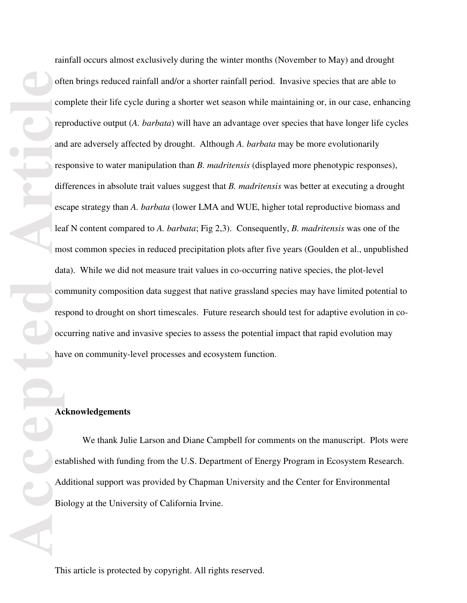**Accepted Article** rainfall occurs almost exclusively during the winter months (November to May) and drought often brings reduced rainfall and/or a shorter rainfall period. Invasive species that are able to complete their life cycle during a shorter wet season while maintaining or, in our case, enhancing reproductive output (*A. barbata*) will have an advantage over species that have longer life cycles and are adversely affected by drought. Although *A. barbata* may be more evolutionarily responsive to water manipulation than *B. madritensis* (displayed more phenotypic responses), differences in absolute trait values suggest that *B. madritensis* was better at executing a drought escape strategy than *A. barbata* (lower LMA and WUE, higher total reproductive biomass and leaf N content compared to *A. barbata*; Fig 2,3). Consequently, *B. madritensis* was one of the most common species in reduced precipitation plots after five years (Goulden et al., unpublished data). While we did not measure trait values in co-occurring native species, the plot-level community composition data suggest that native grassland species may have limited potential to respond to drought on short timescales. Future research should test for adaptive evolution in cooccurring native and invasive species to assess the potential impact that rapid evolution may have on community-level processes and ecosystem function. **Acknowledgements** 

 We thank Julie Larson and Diane Campbell for comments on the manuscript. Plots were established with funding from the U.S. Department of Energy Program in Ecosystem Research. Additional support was provided by Chapman University and the Center for Environmental Biology at the University of California Irvine.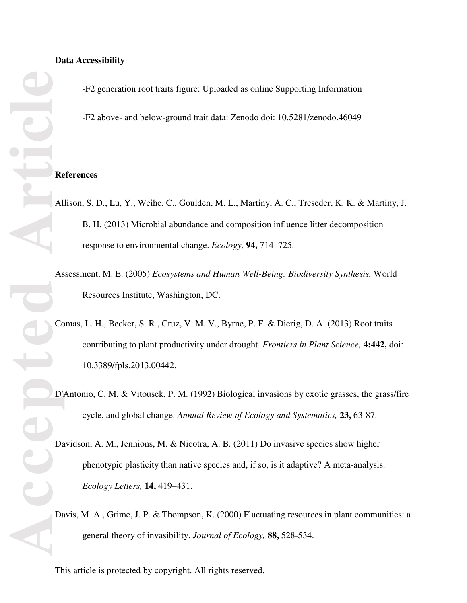#### **Data Accessibility**

-F2 generation root traits figure: Uploaded as online Supporting Information

-F2 above- and below-ground trait data: Zenodo doi: 10.5281/zenodo.46049

#### **References**

- Allison, S. D., Lu, Y., Weihe, C., Goulden, M. L., Martiny, A. C., Treseder, K. K. & Martiny, J. B. H. (2013) Microbial abundance and composition influence litter decomposition response to environmental change. *Ecology,* **94,** 714–725.
- Assessment, M. E. (2005) *Ecosystems and Human Well-Being: Biodiversity Synthesis.* World Resources Institute, Washington, DC.
- Comas, L. H., Becker, S. R., Cruz, V. M. V., Byrne, P. F. & Dierig, D. A. (2013) Root traits contributing to plant productivity under drought. *Frontiers in Plant Science,* **4:442,** doi: 10.3389/fpls.2013.00442.
- D'Antonio, C. M. & Vitousek, P. M. (1992) Biological invasions by exotic grasses, the grass/fire cycle, and global change. *Annual Review of Ecology and Systematics,* **23,** 63-87.
- Davidson, A. M., Jennions, M. & Nicotra, A. B. (2011) Do invasive species show higher phenotypic plasticity than native species and, if so, is it adaptive? A meta-analysis. *Ecology Letters,* **14,** 419–431.
- Davis, M. A., Grime, J. P. & Thompson, K. (2000) Fluctuating resources in plant communities: a general theory of invasibility. *Journal of Ecology,* **88,** 528-534.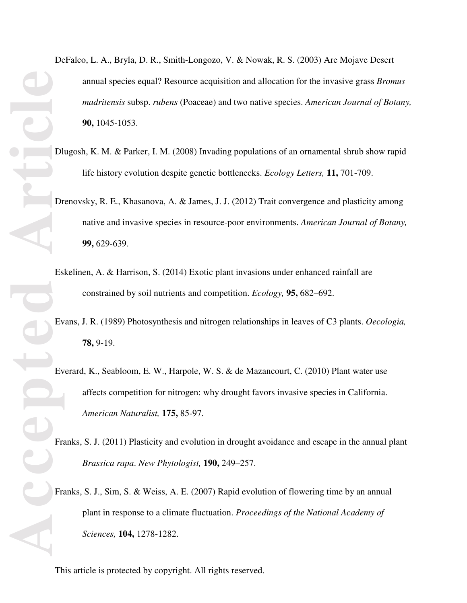- DeFalco, L. A., Bryla, D. R., Smith-Longozo, V. & Nowak, R. S. (2003) Are Mojave Desert annual species equal? Resource acquisition and allocation for the invasive grass *Bromus madritensis* subsp. *rubens* (Poaceae) and two native species. *American Journal of Botany,* **90,** 1045-1053.
- Dlugosh, K. M. & Parker, I. M. (2008) Invading populations of an ornamental shrub show rapid life history evolution despite genetic bottlenecks. *Ecology Letters,* **11,** 701-709.
- Drenovsky, R. E., Khasanova, A. & James, J. J. (2012) Trait convergence and plasticity among native and invasive species in resource-poor environments. *American Journal of Botany,* **99,** 629-639.
- Eskelinen, A. & Harrison, S. (2014) Exotic plant invasions under enhanced rainfall are constrained by soil nutrients and competition. *Ecology,* **95,** 682–692.
- Evans, J. R. (1989) Photosynthesis and nitrogen relationships in leaves of C3 plants. *Oecologia,* **78,** 9-19.
- Everard, K., Seabloom, E. W., Harpole, W. S. & de Mazancourt, C. (2010) Plant water use affects competition for nitrogen: why drought favors invasive species in California. *American Naturalist,* **175,** 85-97.
- Franks, S. J. (2011) Plasticity and evolution in drought avoidance and escape in the annual plant *Brassica rapa*. *New Phytologist,* **190,** 249–257.
- Franks, S. J., Sim, S. & Weiss, A. E. (2007) Rapid evolution of flowering time by an annual plant in response to a climate fluctuation. *Proceedings of the National Academy of Sciences,* **104,** 1278-1282.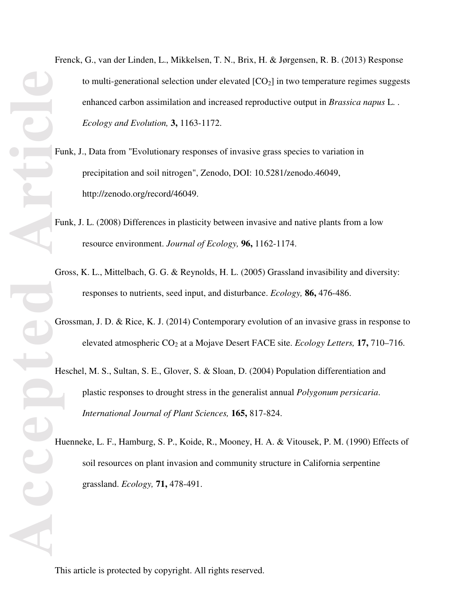- Frenck, G., van der Linden, L., Mikkelsen, T. N., Brix, H. & Jørgensen, R. B. (2013) Response to multi-generational selection under elevated  $[CO<sub>2</sub>]$  in two temperature regimes suggests enhanced carbon assimilation and increased reproductive output in *Brassica napus* L. . *Ecology and Evolution,* **3,** 1163-1172.
- Funk, J., Data from "Evolutionary responses of invasive grass species to variation in precipitation and soil nitrogen", Zenodo, DOI: 10.5281/zenodo.46049, http://zenodo.org/record/46049.
- Funk, J. L. (2008) Differences in plasticity between invasive and native plants from a low resource environment. *Journal of Ecology,* **96,** 1162-1174.
- Gross, K. L., Mittelbach, G. G. & Reynolds, H. L. (2005) Grassland invasibility and diversity: responses to nutrients, seed input, and disturbance. *Ecology,* **86,** 476-486.
- Grossman, J. D. & Rice, K. J. (2014) Contemporary evolution of an invasive grass in response to elevated atmospheric CO<sub>2</sub> at a Mojave Desert FACE site. *Ecology Letters*, **17,** 710–716.
- Heschel, M. S., Sultan, S. E., Glover, S. & Sloan, D. (2004) Population differentiation and plastic responses to drought stress in the generalist annual *Polygonum persicaria*. *International Journal of Plant Sciences,* **165,** 817-824.
- Huenneke, L. F., Hamburg, S. P., Koide, R., Mooney, H. A. & Vitousek, P. M. (1990) Effects of soil resources on plant invasion and community structure in California serpentine grassland. *Ecology,* **71,** 478-491.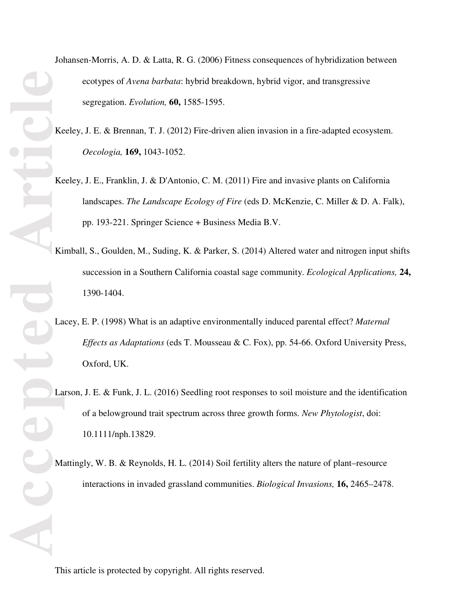Johansen-Morris, A. D. & Latta, R. G. (2006) Fitness consequences of hybridization between ecotypes of *Avena barbata*: hybrid breakdown, hybrid vigor, and transgressive segregation. *Evolution,* **60,** 1585-1595.

Keeley, J. E. & Brennan, T. J. (2012) Fire-driven alien invasion in a fire-adapted ecosystem. *Oecologia,* **169,** 1043-1052.

- Keeley, J. E., Franklin, J. & D'Antonio, C. M. (2011) Fire and invasive plants on California landscapes. *The Landscape Ecology of Fire* (eds D. McKenzie, C. Miller & D. A. Falk), pp. 193-221. Springer Science + Business Media B.V.
- Kimball, S., Goulden, M., Suding, K. & Parker, S. (2014) Altered water and nitrogen input shifts succession in a Southern California coastal sage community. *Ecological Applications,* **24,** 1390-1404.
- Lacey, E. P. (1998) What is an adaptive environmentally induced parental effect? *Maternal Effects as Adaptations* (eds T. Mousseau & C. Fox), pp. 54-66. Oxford University Press, Oxford, UK.
- Larson, J. E. & Funk, J. L. (2016) Seedling root responses to soil moisture and the identification of a belowground trait spectrum across three growth forms. *New Phytologist*, doi: 10.1111/nph.13829.
- Mattingly, W. B. & Reynolds, H. L. (2014) Soil fertility alters the nature of plant–resource interactions in invaded grassland communities. *Biological Invasions,* **16,** 2465–2478.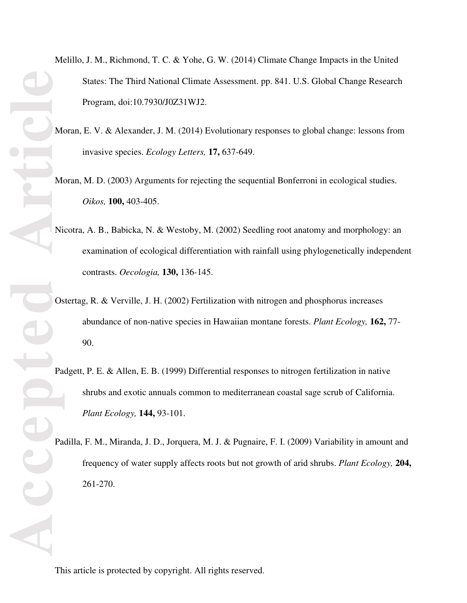- Melillo, J. M., Richmond, T. C. & Yohe, G. W. (2014) Climate Change Impacts in the United States: The Third National Climate Assessment. pp. 841. U.S. Global Change Research Program, doi:10.7930/J0Z31WJ2.
- Moran, E. V. & Alexander, J. M. (2014) Evolutionary responses to global change: lessons from invasive species. *Ecology Letters,* **17,** 637-649.
- Moran, M. D. (2003) Arguments for rejecting the sequential Bonferroni in ecological studies. *Oikos,* **100,** 403-405.
- Nicotra, A. B., Babicka, N. & Westoby, M. (2002) Seedling root anatomy and morphology: an examination of ecological differentiation with rainfall using phylogenetically independent contrasts. *Oecologia,* **130,** 136-145.
- Ostertag, R. & Verville, J. H. (2002) Fertilization with nitrogen and phosphorus increases abundance of non-native species in Hawaiian montane forests. *Plant Ecology,* **162,** 77- 90.
- Padgett, P. E. & Allen, E. B. (1999) Differential responses to nitrogen fertilization in native shrubs and exotic annuals common to mediterranean coastal sage scrub of California. *Plant Ecology,* **144,** 93-101.
- Padilla, F. M., Miranda, J. D., Jorquera, M. J. & Pugnaire, F. I. (2009) Variability in amount and frequency of water supply affects roots but not growth of arid shrubs. *Plant Ecology,* **204,** 261-270.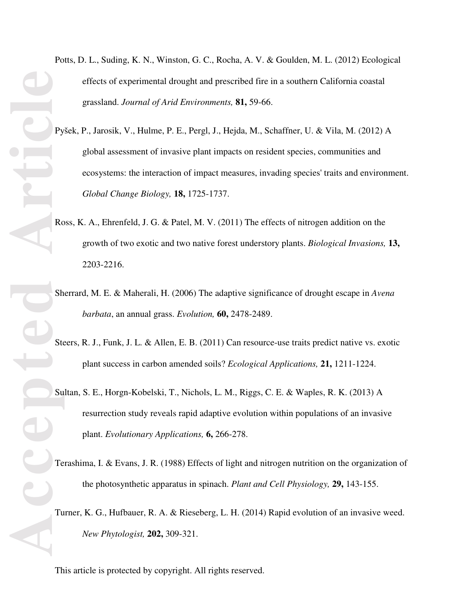- Potts, D. L., Suding, K. N., Winston, G. C., Rocha, A. V. & Goulden, M. L. (2012) Ecological effects of experimental drought and prescribed fire in a southern California coastal grassland. *Journal of Arid Environments,* **81,** 59-66.
- Pyšek, P., Jarosik, V., Hulme, P. E., Pergl, J., Hejda, M., Schaffner, U. & Vila, M. (2012) A global assessment of invasive plant impacts on resident species, communities and ecosystems: the interaction of impact measures, invading species' traits and environment. *Global Change Biology,* **18,** 1725-1737.
- Ross, K. A., Ehrenfeld, J. G. & Patel, M. V. (2011) The effects of nitrogen addition on the growth of two exotic and two native forest understory plants. *Biological Invasions,* **13,** 2203-2216.
- Sherrard, M. E. & Maherali, H. (2006) The adaptive significance of drought escape in *Avena barbata*, an annual grass. *Evolution,* **60,** 2478-2489.
- Steers, R. J., Funk, J. L. & Allen, E. B. (2011) Can resource-use traits predict native vs. exotic plant success in carbon amended soils? *Ecological Applications,* **21,** 1211-1224.
- Sultan, S. E., Horgn-Kobelski, T., Nichols, L. M., Riggs, C. E. & Waples, R. K. (2013) A resurrection study reveals rapid adaptive evolution within populations of an invasive plant. *Evolutionary Applications,* **6,** 266-278.
- Terashima, I. & Evans, J. R. (1988) Effects of light and nitrogen nutrition on the organization of the photosynthetic apparatus in spinach. *Plant and Cell Physiology,* **29,** 143-155.
- Turner, K. G., Hufbauer, R. A. & Rieseberg, L. H. (2014) Rapid evolution of an invasive weed. *New Phytologist,* **202,** 309-321.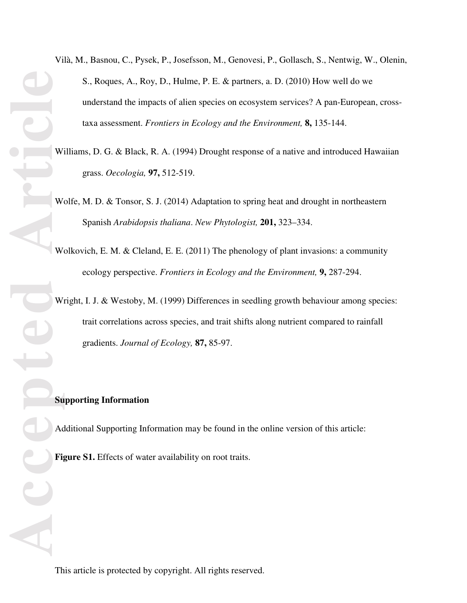Vilà, M., Basnou, C., Pysek, P., Josefsson, M., Genovesi, P., Gollasch, S., Nentwig, W., Olenin, S., Roques, A., Roy, D., Hulme, P. E. & partners, a. D. (2010) How well do we understand the impacts of alien species on ecosystem services? A pan-European, crosstaxa assessment. *Frontiers in Ecology and the Environment,* **8,** 135-144.

- Williams, D. G. & Black, R. A. (1994) Drought response of a native and introduced Hawaiian grass. *Oecologia,* **97,** 512-519.
- Wolfe, M. D. & Tonsor, S. J. (2014) Adaptation to spring heat and drought in northeastern Spanish *Arabidopsis thaliana*. *New Phytologist,* **201,** 323–334.
- Wolkovich, E. M. & Cleland, E. E. (2011) The phenology of plant invasions: a community ecology perspective. *Frontiers in Ecology and the Environment,* **9,** 287-294.
- Wright, I. J. & Westoby, M. (1999) Differences in seedling growth behaviour among species: trait correlations across species, and trait shifts along nutrient compared to rainfall gradients. *Journal of Ecology,* **87,** 85-97.

#### **Supporting Information**

Additional Supporting Information may be found in the online version of this article:

Figure S1. Effects of water availability on root traits.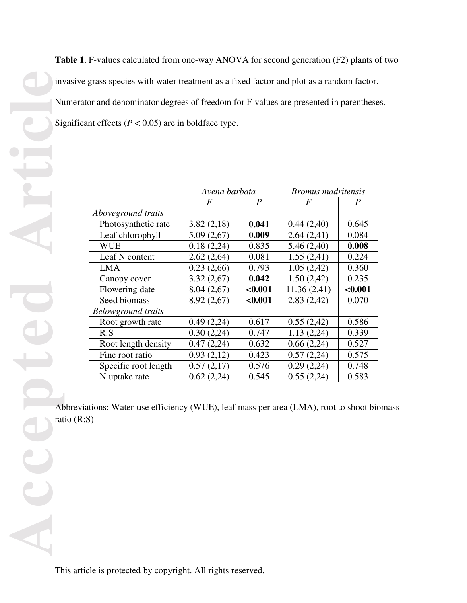**Table 1**. F-values calculated from one-way ANOVA for second generation (F2) plants of two invasive grass species with water treatment as a fixed factor and plot as a random factor. Numerator and denominator degrees of freedom for F-values are presented in parentheses. Significant effects ( $P < 0.05$ ) are in boldface type.

|                           | Avena barbata |                  | <b>Bromus</b> madritensis |         |
|---------------------------|---------------|------------------|---------------------------|---------|
|                           | F             | $\boldsymbol{P}$ | F                         | P       |
| Aboveground traits        |               |                  |                           |         |
| Photosynthetic rate       | 3.82(2,18)    | 0.041            | 0.44(2,40)                | 0.645   |
| Leaf chlorophyll          | 5.09(2,67)    | 0.009            | 2.64(2,41)                | 0.084   |
| <b>WUE</b>                | 0.18(2,24)    | 0.835            | 5.46(2,40)                | 0.008   |
| Leaf N content            | 2.62(2,64)    | 0.081            | 1.55(2,41)                | 0.224   |
| <b>LMA</b>                | 0.23(2,66)    | 0.793            | 1.05(2,42)                | 0.360   |
| Canopy cover              | 3.32(2,67)    | 0.042            | 1.50(2,42)                | 0.235   |
| Flowering date            | 8.04(2,67)    | < 0.001          | 11.36(2,41)               | < 0.001 |
| Seed biomass              | 8.92(2,67)    | < 0.001          | 2.83(2,42)                | 0.070   |
| <b>Belowground traits</b> |               |                  |                           |         |
| Root growth rate          | 0.49(2,24)    | 0.617            | 0.55(2,42)                | 0.586   |
| R: S                      | 0.30(2,24)    | 0.747            | 1.13(2,24)                | 0.339   |
| Root length density       | 0.47(2,24)    | 0.632            | 0.66(2,24)                | 0.527   |
| Fine root ratio           | 0.93(2,12)    | 0.423            | 0.57(2,24)                | 0.575   |
| Specific root length      | 0.57(2,17)    | 0.576            | 0.29(2,24)                | 0.748   |
| N uptake rate             | 0.62(2,24)    | 0.545            | 0.55(2,24)                | 0.583   |

Abbreviations: Water-use efficiency (WUE), leaf mass per area (LMA), root to shoot biomass ratio (R:S)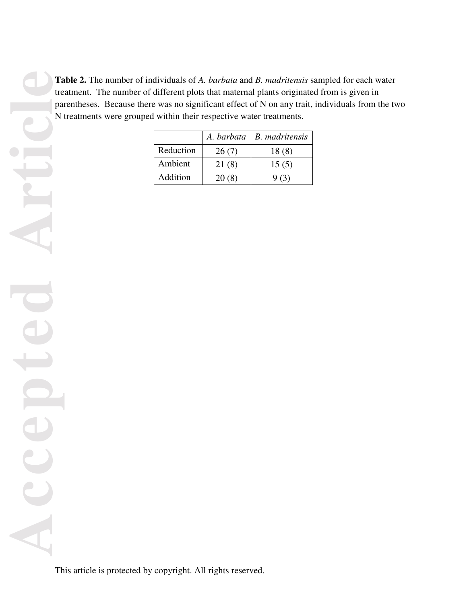**Table 2.** The number of individuals of *A. barbata* and *B. madritensis* sampled for each water treatment. The number of different plots that maternal plants originated from is given in parentheses. Because there was no significant effect of N on any trait, individuals from the two N treatments were grouped within their respective water treatments.

|           |       | A. barbata   B. madritensis |
|-----------|-------|-----------------------------|
| Reduction | 26(7) | 18(8)                       |
| Ambient   | 21(8) | 15(5)                       |
| Addition  | 20(8) | 9(3)                        |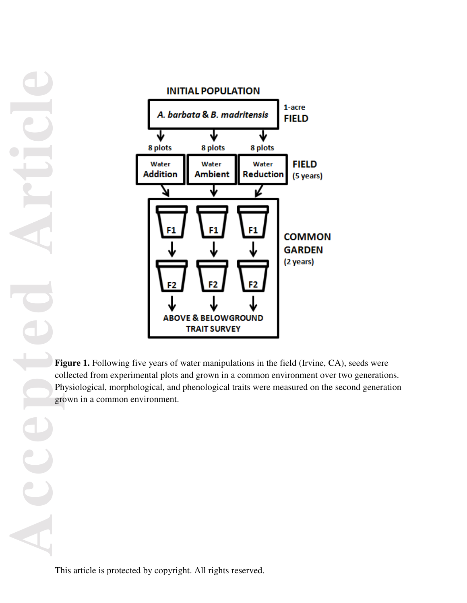**Accepted Article**



Figure 1. Following five years of water manipulations in the field (Irvine, CA), seeds were collected from experimental plots and grown in a common environment over two generations. Physiological, morphological, and phenological traits were measured on the second generation grown in a common environment.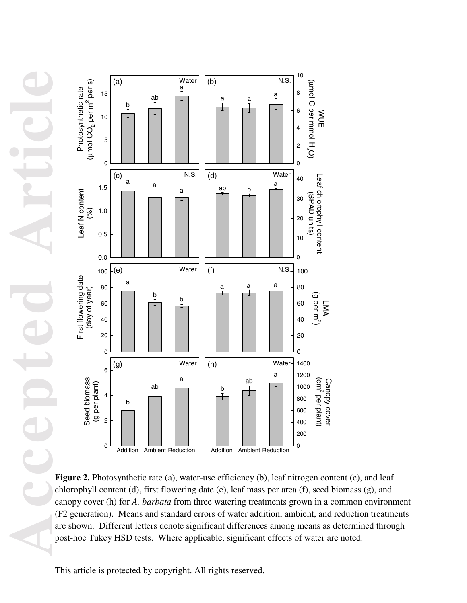**Accepted Article**



Figure 2. Photosynthetic rate (a), water-use efficiency (b), leaf nitrogen content (c), and leaf chlorophyll content (d), first flowering date (e), leaf mass per area (f), seed biomass (g), and canopy cover (h) for *A. barbata* from three watering treatments grown in a common environment (F2 generation). Means and standard errors of water addition, ambient, and reduction treatments are shown. Different letters denote significant differences among means as determined through post-hoc Tukey HSD tests. Where applicable, significant effects of water are noted.